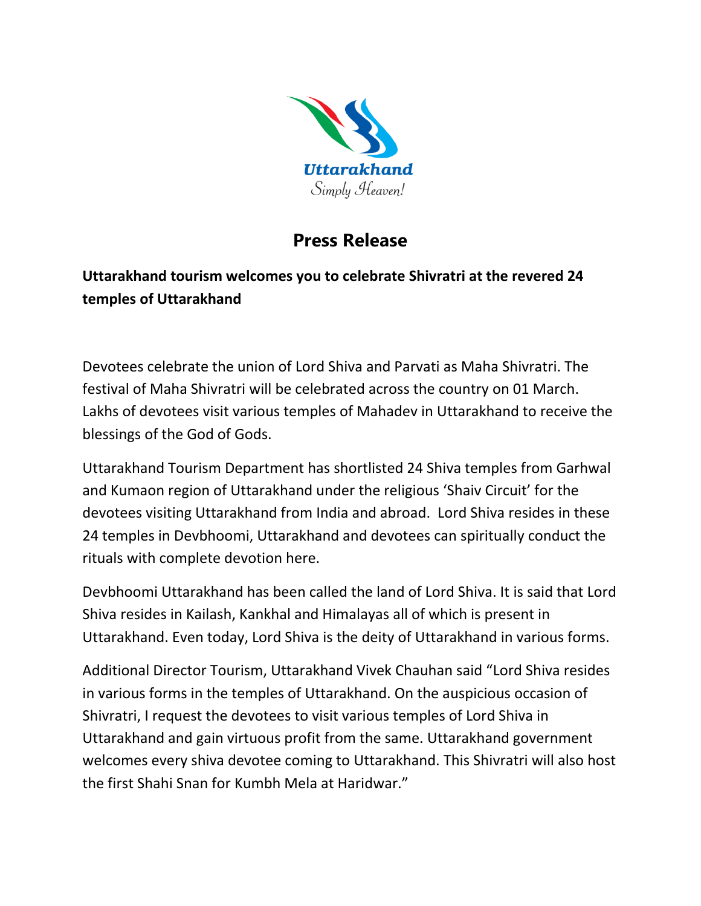

## **Press Release**

## **Uttarakhand tourism welcomes you to celebrate Shivratri at the revered 24 temples of Uttarakhand**

Devotees celebrate the union of Lord Shiva and Parvati as Maha Shivratri. The festival of Maha Shivratri will be celebrated across the country on 01 March. Lakhs of devotees visit various temples of Mahadev in Uttarakhand to receive the blessings of the God of Gods.

Uttarakhand Tourism Department has shortlisted 24 Shiva temples from Garhwal and Kumaon region of Uttarakhand under the religious 'Shaiv Circuit' for the devotees visiting Uttarakhand from India and abroad. Lord Shiva resides in these 24 temples in Devbhoomi, Uttarakhand and devotees can spiritually conduct the rituals with complete devotion here.

Devbhoomi Uttarakhand has been called the land of Lord Shiva. It is said that Lord Shiva resides in Kailash, Kankhal and Himalayas all of which is present in Uttarakhand. Even today, Lord Shiva is the deity of Uttarakhand in various forms.

Additional Director Tourism, Uttarakhand Vivek Chauhan said "Lord Shiva resides in various forms in the temples of Uttarakhand. On the auspicious occasion of Shivratri, I request the devotees to visit various temples of Lord Shiva in Uttarakhand and gain virtuous profit from the same. Uttarakhand government welcomes every shiva devotee coming to Uttarakhand. This Shivratri will also host the first Shahi Snan for Kumbh Mela at Haridwar."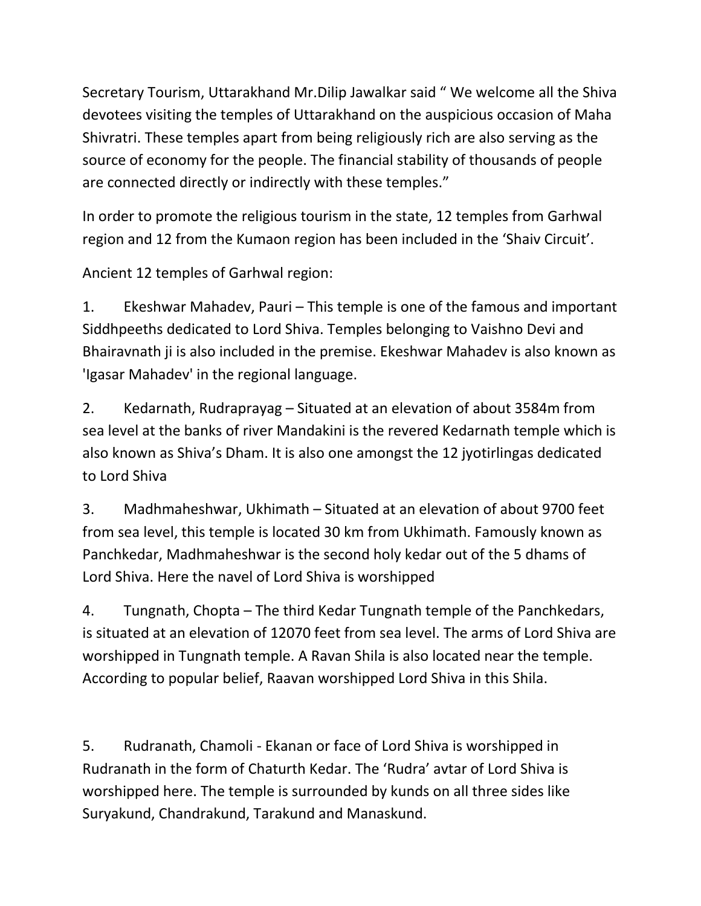Secretary Tourism, Uttarakhand Mr.Dilip Jawalkar said " We welcome all the Shiva devotees visiting the temples of Uttarakhand on the auspicious occasion of Maha Shivratri. These temples apart from being religiously rich are also serving as the source of economy for the people. The financial stability of thousands of people are connected directly or indirectly with these temples."

In order to promote the religious tourism in the state, 12 temples from Garhwal region and 12 from the Kumaon region has been included in the 'Shaiv Circuit'.

Ancient 12 temples of Garhwal region:

1. Ekeshwar Mahadev, Pauri – This temple is one of the famous and important Siddhpeeths dedicated to Lord Shiva. Temples belonging to Vaishno Devi and Bhairavnath ji is also included in the premise. Ekeshwar Mahadev is also known as 'Igasar Mahadev' in the regional language.

2. Kedarnath, Rudraprayag – Situated at an elevation of about 3584m from sea level at the banks of river Mandakini is the revered Kedarnath temple which is also known as Shiva's Dham. It is also one amongst the 12 jyotirlingas dedicated to Lord Shiva

3. Madhmaheshwar, Ukhimath – Situated at an elevation of about 9700 feet from sea level, this temple is located 30 km from Ukhimath. Famously known as Panchkedar, Madhmaheshwar is the second holy kedar out of the 5 dhams of Lord Shiva. Here the navel of Lord Shiva is worshipped

4. Tungnath, Chopta – The third Kedar Tungnath temple of the Panchkedars, is situated at an elevation of 12070 feet from sea level. The arms of Lord Shiva are worshipped in Tungnath temple. A Ravan Shila is also located near the temple. According to popular belief, Raavan worshipped Lord Shiva in this Shila.

5. Rudranath, Chamoli - Ekanan or face of Lord Shiva is worshipped in Rudranath in the form of Chaturth Kedar. The 'Rudra' avtar of Lord Shiva is worshipped here. The temple is surrounded by kunds on all three sides like Suryakund, Chandrakund, Tarakund and Manaskund.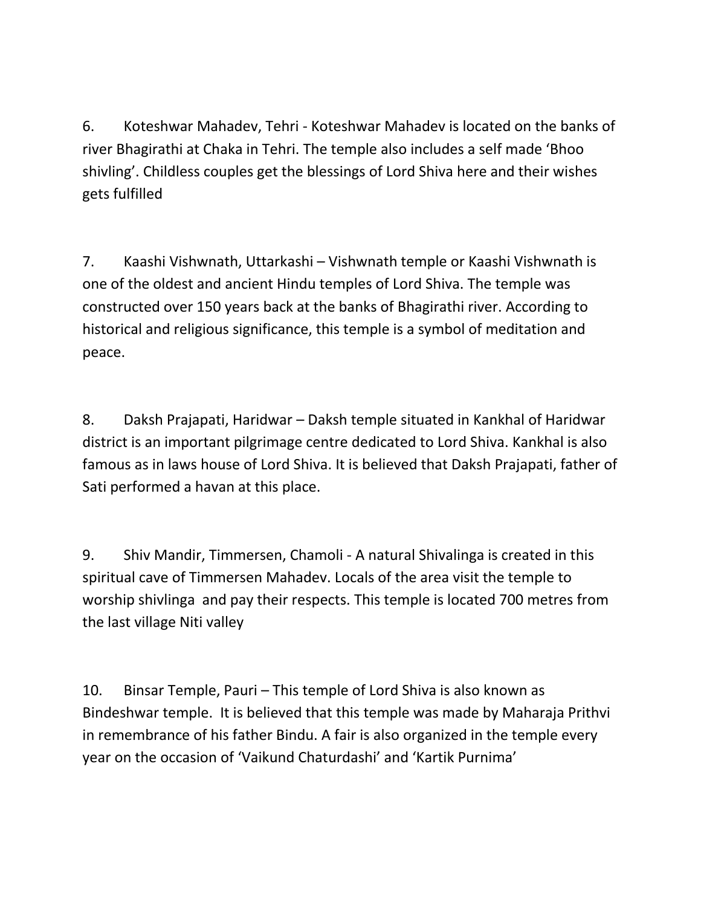6. Koteshwar Mahadev, Tehri - Koteshwar Mahadev is located on the banks of river Bhagirathi at Chaka in Tehri. The temple also includes a self made 'Bhoo shivling'. Childless couples get the blessings of Lord Shiva here and their wishes gets fulfilled

7. Kaashi Vishwnath, Uttarkashi – Vishwnath temple or Kaashi Vishwnath is one of the oldest and ancient Hindu temples of Lord Shiva. The temple was constructed over 150 years back at the banks of Bhagirathi river. According to historical and religious significance, this temple is a symbol of meditation and peace.

8. Daksh Prajapati, Haridwar – Daksh temple situated in Kankhal of Haridwar district is an important pilgrimage centre dedicated to Lord Shiva. Kankhal is also famous as in laws house of Lord Shiva. It is believed that Daksh Prajapati, father of Sati performed a havan at this place.

9. Shiv Mandir, Timmersen, Chamoli - A natural Shivalinga is created in this spiritual cave of Timmersen Mahadev. Locals of the area visit the temple to worship shivlinga and pay their respects. This temple is located 700 metres from the last village Niti valley

10. Binsar Temple, Pauri – This temple of Lord Shiva is also known as Bindeshwar temple. It is believed that this temple was made by Maharaja Prithvi in remembrance of his father Bindu. A fair is also organized in the temple every year on the occasion of 'Vaikund Chaturdashi' and 'Kartik Purnima'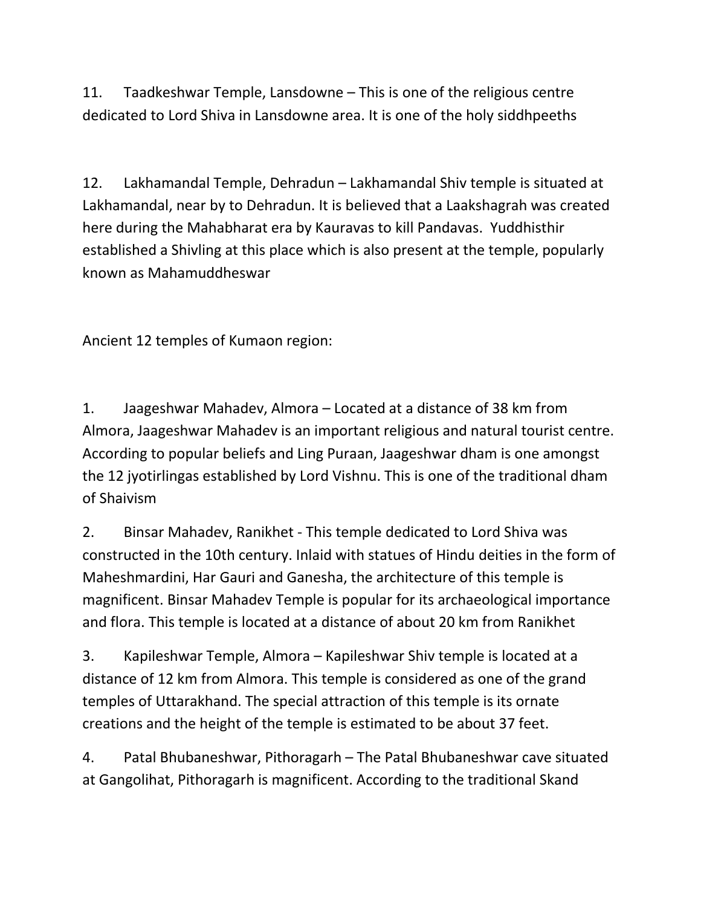11. Taadkeshwar Temple, Lansdowne – This is one of the religious centre dedicated to Lord Shiva in Lansdowne area. It is one of the holy siddhpeeths

12. Lakhamandal Temple, Dehradun – Lakhamandal Shiv temple is situated at Lakhamandal, near by to Dehradun. It is believed that a Laakshagrah was created here during the Mahabharat era by Kauravas to kill Pandavas. Yuddhisthir established a Shivling at this place which is also present at the temple, popularly known as Mahamuddheswar

Ancient 12 temples of Kumaon region:

1. Jaageshwar Mahadev, Almora – Located at a distance of 38 km from Almora, Jaageshwar Mahadev is an important religious and natural tourist centre. According to popular beliefs and Ling Puraan, Jaageshwar dham is one amongst the 12 jyotirlingas established by Lord Vishnu. This is one of the traditional dham of Shaivism

2. Binsar Mahadev, Ranikhet - This temple dedicated to Lord Shiva was constructed in the 10th century. Inlaid with statues of Hindu deities in the form of Maheshmardini, Har Gauri and Ganesha, the architecture of this temple is magnificent. Binsar Mahadev Temple is popular for its archaeological importance and flora. This temple is located at a distance of about 20 km from Ranikhet

3. Kapileshwar Temple, Almora – Kapileshwar Shiv temple is located at a distance of 12 km from Almora. This temple is considered as one of the grand temples of Uttarakhand. The special attraction of this temple is its ornate creations and the height of the temple is estimated to be about 37 feet.

4. Patal Bhubaneshwar, Pithoragarh – The Patal Bhubaneshwar cave situated at Gangolihat, Pithoragarh is magnificent. According to the traditional Skand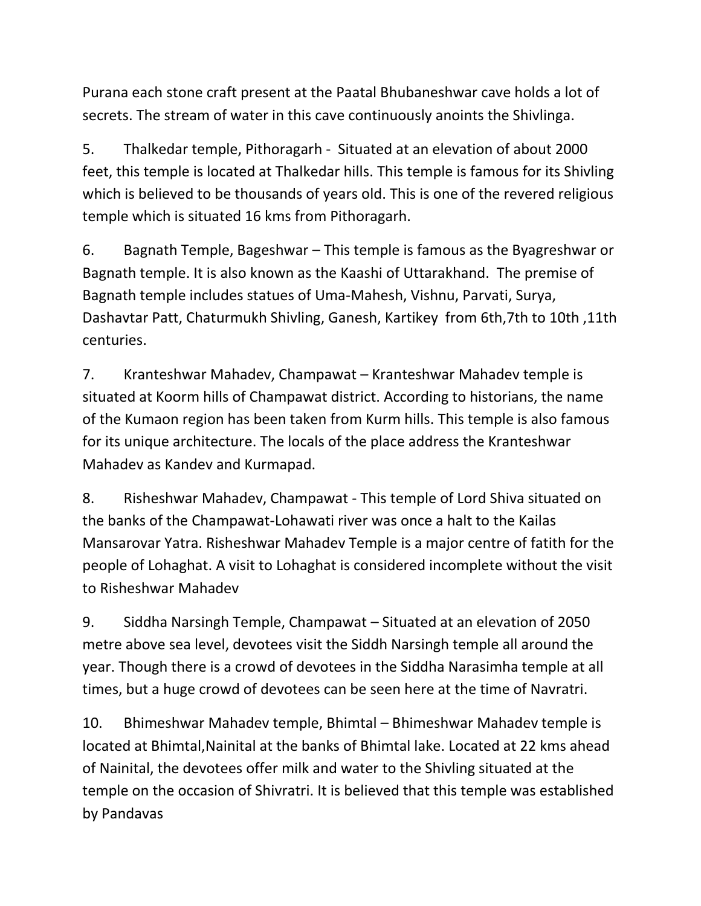Purana each stone craft present at the Paatal Bhubaneshwar cave holds a lot of secrets. The stream of water in this cave continuously anoints the Shivlinga.

5. Thalkedar temple, Pithoragarh - Situated at an elevation of about 2000 feet, this temple is located at Thalkedar hills. This temple is famous for its Shivling which is believed to be thousands of years old. This is one of the revered religious temple which is situated 16 kms from Pithoragarh.

6. Bagnath Temple, Bageshwar – This temple is famous as the Byagreshwar or Bagnath temple. It is also known as the Kaashi of Uttarakhand. The premise of Bagnath temple includes statues of Uma-Mahesh, Vishnu, Parvati, Surya, Dashavtar Patt, Chaturmukh Shivling, Ganesh, Kartikey from 6th,7th to 10th ,11th centuries.

7. Kranteshwar Mahadev, Champawat – Kranteshwar Mahadev temple is situated at Koorm hills of Champawat district. According to historians, the name of the Kumaon region has been taken from Kurm hills. This temple is also famous for its unique architecture. The locals of the place address the Kranteshwar Mahadev as Kandev and Kurmapad.

8. Risheshwar Mahadev, Champawat - This temple of Lord Shiva situated on the banks of the Champawat-Lohawati river was once a halt to the Kailas Mansarovar Yatra. Risheshwar Mahadev Temple is a major centre of fatith for the people of Lohaghat. A visit to Lohaghat is considered incomplete without the visit to Risheshwar Mahadev

9. Siddha Narsingh Temple, Champawat – Situated at an elevation of 2050 metre above sea level, devotees visit the Siddh Narsingh temple all around the year. Though there is a crowd of devotees in the Siddha Narasimha temple at all times, but a huge crowd of devotees can be seen here at the time of Navratri.

10. Bhimeshwar Mahadev temple, Bhimtal – Bhimeshwar Mahadev temple is located at Bhimtal,Nainital at the banks of Bhimtal lake. Located at 22 kms ahead of Nainital, the devotees offer milk and water to the Shivling situated at the temple on the occasion of Shivratri. It is believed that this temple was established by Pandavas